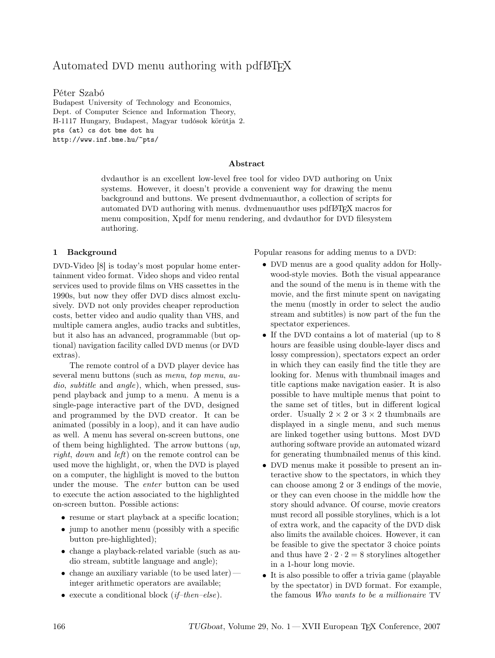# Automated DVD menu authoring with pdfLAT<sub>EX</sub>

Péter Szabó Budapest University of Technology and Economics, Dept. of Computer Science and Information Theory, H-1117 Hungary, Budapest, Magyar tudósok körútja 2. pts (at) cs dot bme dot hu http://www.inf.bme.hu/~pts/

#### Abstract

dvdauthor is an excellent low-level free tool for video DVD authoring on Unix systems. However, it doesn't provide a convenient way for drawing the menu background and buttons. We present dvdmenuauthor, a collection of scripts for automated DVD authoring with menus. dvdmenuauthor uses pdfLATEX macros for menu composition, Xpdf for menu rendering, and dvdauthor for DVD filesystem authoring.

#### 1 Background

DVD-Video [8] is today's most popular home entertainment video format. Video shops and video rental services used to provide films on VHS cassettes in the 1990s, but now they offer DVD discs almost exclusively. DVD not only provides cheaper reproduction costs, better video and audio quality than VHS, and multiple camera angles, audio tracks and subtitles, but it also has an advanced, programmable (but optional) navigation facility called DVD menus (or DVD extras).

The remote control of a DVD player device has several menu buttons (such as menu, top menu, audio, *subtitle* and *angle*), which, when pressed, suspend playback and jump to a menu. A menu is a single-page interactive part of the DVD, designed and programmed by the DVD creator. It can be animated (possibly in a loop), and it can have audio as well. A menu has several on-screen buttons, one of them being highlighted. The arrow buttons  $\langle up, \rangle$ right, down and left) on the remote control can be used move the highlight, or, when the DVD is played on a computer, the highlight is moved to the button under the mouse. The enter button can be used to execute the action associated to the highlighted on-screen button. Possible actions:

- resume or start playback at a specific location;
- jump to another menu (possibly with a specific button pre-highlighted);
- change a playback-related variable (such as audio stream, subtitle language and angle);
- change an auxiliary variable (to be used later) integer arithmetic operators are available;
- execute a conditional block  $(if-then-else)$ .

Popular reasons for adding menus to a DVD:

- DVD menus are a good quality addon for Hollywood-style movies. Both the visual appearance and the sound of the menu is in theme with the movie, and the first minute spent on navigating the menu (mostly in order to select the audio stream and subtitles) is now part of the fun the spectator experiences.
- If the DVD contains a lot of material (up to 8) hours are feasible using double-layer discs and lossy compression), spectators expect an order in which they can easily find the title they are looking for. Menus with thumbnail images and title captions make navigation easier. It is also possible to have multiple menus that point to the same set of titles, but in different logical order. Usually  $2 \times 2$  or  $3 \times 2$  thumbnails are displayed in a single menu, and such menus are linked together using buttons. Most DVD authoring software provide an automated wizard for generating thumbnailed menus of this kind.
- DVD menus make it possible to present an interactive show to the spectators, in which they can choose among 2 or 3 endings of the movie, or they can even choose in the middle how the story should advance. Of course, movie creators must record all possible storylines, which is a lot of extra work, and the capacity of the DVD disk also limits the available choices. However, it can be feasible to give the spectator 3 choice points and thus have  $2 \cdot 2 \cdot 2 = 8$  storylines altogether in a 1-hour long movie.
- It is also possible to offer a trivia game (playable by the spectator) in DVD format. For example, the famous Who wants to be a millionaire TV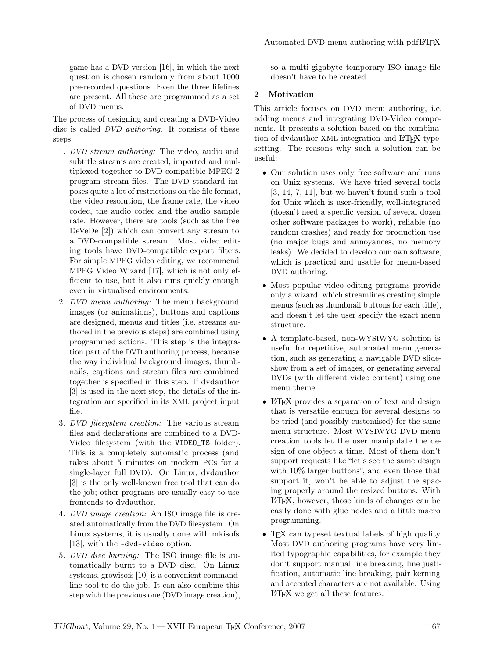game has a DVD version [16], in which the next question is chosen randomly from about 1000 pre-recorded questions. Even the three lifelines are present. All these are programmed as a set of DVD menus.

The process of designing and creating a DVD-Video disc is called *DVD authoring*. It consists of these steps:

- 1. DVD stream authoring: The video, audio and subtitle streams are created, imported and multiplexed together to DVD-compatible MPEG-2 program stream files. The DVD standard imposes quite a lot of restrictions on the file format, the video resolution, the frame rate, the video codec, the audio codec and the audio sample rate. However, there are tools (such as the free DeVeDe [2]) which can convert any stream to a DVD-compatible stream. Most video editing tools have DVD-compatible export filters. For simple MPEG video editing, we recommend MPEG Video Wizard [17], which is not only efficient to use, but it also runs quickly enough even in virtualised environments.
- 2. DVD menu authoring: The menu background images (or animations), buttons and captions are designed, menus and titles (i.e. streams authored in the previous steps) are combined using programmed actions. This step is the integration part of the DVD authoring process, because the way individual background images, thumbnails, captions and stream files are combined together is specified in this step. If dvdauthor [3] is used in the next step, the details of the integration are specified in its XML project input file.
- 3. DVD filesystem creation: The various stream files and declarations are combined to a DVD-Video filesystem (with the VIDEO\_TS folder). This is a completely automatic process (and takes about 5 minutes on modern PCs for a single-layer full DVD). On Linux, dvdauthor [3] is the only well-known free tool that can do the job; other programs are usually easy-to-use frontends to dvdauthor.
- 4. DVD image creation: An ISO image file is created automatically from the DVD filesystem. On Linux systems, it is usually done with mkisofs [13], with the -dvd-video option.
- 5. DVD disc burning: The ISO image file is automatically burnt to a DVD disc. On Linux systems, growisofs [10] is a convenient commandline tool to do the job. It can also combine this step with the previous one (DVD image creation),

so a multi-gigabyte temporary ISO image file doesn't have to be created.

# 2 Motivation

This article focuses on DVD menu authoring, i.e. adding menus and integrating DVD-Video components. It presents a solution based on the combination of dydauthor XML integration and L<sup>AT</sup>FX typesetting. The reasons why such a solution can be useful:

- Our solution uses only free software and runs on Unix systems. We have tried several tools [3, 14, 7, 11], but we haven't found such a tool for Unix which is user-friendly, well-integrated (doesn't need a specific version of several dozen other software packages to work), reliable (no random crashes) and ready for production use (no major bugs and annoyances, no memory leaks). We decided to develop our own software, which is practical and usable for menu-based DVD authoring.
- Most popular video editing programs provide only a wizard, which streamlines creating simple menus (such as thumbnail buttons for each title), and doesn't let the user specify the exact menu structure.
- A template-based, non-WYSIWYG solution is useful for repetitive, automated menu generation, such as generating a navigable DVD slideshow from a set of images, or generating several DVDs (with different video content) using one menu theme.
- IATEX provides a separation of text and design that is versatile enough for several designs to be tried (and possibly customised) for the same menu structure. Most WYSIWYG DVD menu creation tools let the user manipulate the design of one object a time. Most of them don't support requests like "let's see the same design with 10% larger buttons", and even those that support it, won't be able to adjust the spacing properly around the resized buttons. With LATEX, however, those kinds of changes can be easily done with glue nodes and a little macro programming.
- TEX can typeset textual labels of high quality. Most DVD authoring programs have very limited typographic capabilities, for example they don't support manual line breaking, line justification, automatic line breaking, pair kerning and accented characters are not available. Using LATEX we get all these features.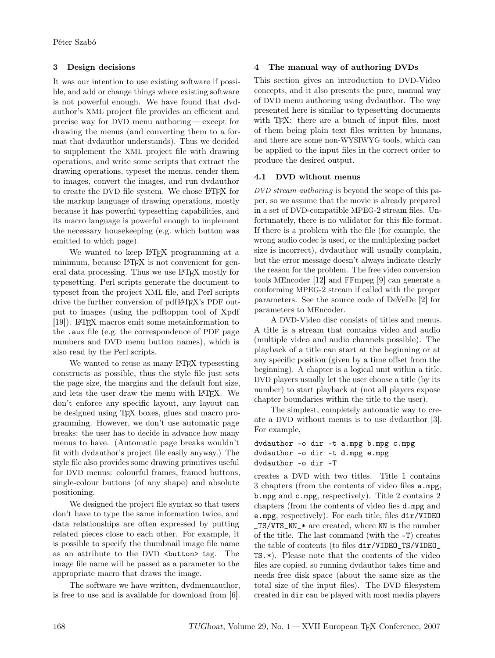# 3 Design decisions

It was our intention to use existing software if possible, and add or change things where existing software is not powerful enough. We have found that dvdauthor's XML project file provides an efficient and precise way for DVD menu authoring— except for drawing the menus (and converting them to a format that dvdauthor understands). Thus we decided to supplement the XML project file with drawing operations, and write some scripts that extract the drawing operations, typeset the menus, render them to images, convert the images, and run dvdauthor to create the DVD file system. We chose LATEX for the markup language of drawing operations, mostly because it has powerful typesetting capabilities, and its macro language is powerful enough to implement the necessary housekeeping (e.g. which button was emitted to which page).

We wanted to keep LAT<sub>F</sub>X programming at a minimum, because L<sup>AT</sup>FX is not convenient for general data processing. Thus we use LATEX mostly for typesetting. Perl scripts generate the document to typeset from the project XML file, and Perl scripts drive the further conversion of pdfLAT<sub>EX</sub>'s PDF output to images (using the pdftoppm tool of Xpdf [19]). LATEX macros emit some metainformation to the .aux file (e.g. the correspondence of PDF page numbers and DVD menu button names), which is also read by the Perl scripts.

We wanted to reuse as many LAT<sub>EX</sub> typesetting constructs as possible, thus the style file just sets the page size, the margins and the default font size, and lets the user draw the menu with LATEX. We don't enforce any specific layout, any layout can be designed using T<sub>E</sub>X boxes, glues and macro programming. However, we don't use automatic page breaks: the user has to decide in advance how many menus to have. (Automatic page breaks wouldn't fit with dvdauthor's project file easily anyway.) The style file also provides some drawing primitives useful for DVD menus: colourful frames, framed buttons, single-colour buttons (of any shape) and absolute positioning.

We designed the project file syntax so that users don't have to type the same information twice, and data relationships are often expressed by putting related pieces close to each other. For example, it is possible to specify the thumbnail image file name as an attribute to the DVD  $\lambda$  to  $\lambda$  tag. The image file name will be passed as a parameter to the appropriate macro that draws the image.

The software we have written, dvdmenuauthor, is free to use and is available for download from [6].

# 4 The manual way of authoring DVDs

This section gives an introduction to DVD-Video concepts, and it also presents the pure, manual way of DVD menu authoring using dvdauthor. The way presented here is similar to typesetting documents with T<sub>EX</sub>: there are a bunch of input files, most of them being plain text files written by humans, and there are some non-WYSIWYG tools, which can be applied to the input files in the correct order to produce the desired output.

# 4.1 DVD without menus

DVD stream authoring is beyond the scope of this paper, so we assume that the movie is already prepared in a set of DVD-compatible MPEG-2 stream files. Unfortunately, there is no validator for this file format. If there is a problem with the file (for example, the wrong audio codec is used, or the multiplexing packet size is incorrect), dvdauthor will usually complain, but the error message doesn't always indicate clearly the reason for the problem. The free video conversion tools MEncoder [12] and FFmpeg [9] can generate a conforming MPEG-2 stream if called with the proper parameters. See the source code of DeVeDe [2] for parameters to MEncoder.

A DVD-Video disc consists of titles and menus. A title is a stream that contains video and audio (multiple video and audio channels possible). The playback of a title can start at the beginning or at any specific position (given by a time offset from the beginning). A chapter is a logical unit within a title. DVD players usually let the user choose a title (by its number) to start playback at (not all players expose chapter boundaries within the title to the user).

The simplest, completely automatic way to create a DVD without menus is to use dvdauthor [3]. For example,

```
dvdauthor -o dir -t a.mpg b.mpg c.mpg
dvdauthor -o dir -t d.mpg e.mpg
dvdauthor -o dir -T
```
creates a DVD with two titles. Title 1 contains 3 chapters (from the contents of video files a.mpg, b.mpg and c.mpg, respectively). Title 2 contains 2 chapters (from the contents of video fies d.mpg and e.mpg, respectively). For each title, files dir/VIDEO \_TS/VTS\_NN\_\* are created, where NN is the number of the title. The last command (with the -T) creates the table of contents (to files dir/VIDEO\_TS/VIDEO\_ TS.\*). Please note that the contents of the video files are copied, so running dvdauthor takes time and needs free disk space (about the same size as the total size of the input files). The DVD filesystem created in dir can be played with most media players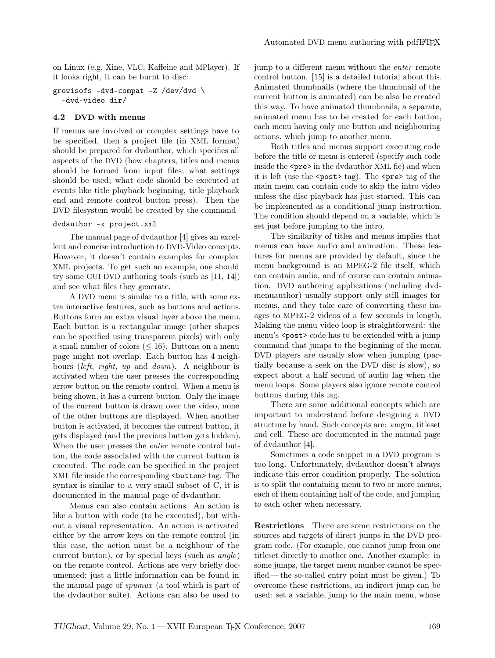on Linux (e.g. Xine, VLC, Kaffeine and MPlayer). If it looks right, it can be burnt to disc:

```
growisofs -dvd-compat -Z /dev/dvd \
 -dvd-video dir/
```
#### 4.2 DVD with menus

If menus are involved or complex settings have to be specified, then a project file (in XML format) should be prepared for dvdauthor, which specifies all aspects of the DVD (how chapters, titles and menus should be formed from input files; what settings should be used; what code should be executed at events like title playback beginning, title playback end and remote control button press). Then the DVD filesystem would be created by the command

#### dvdauthor -x project.xml

The manual page of dvdauthor [4] gives an excellent and concise introduction to DVD-Video concepts. However, it doesn't contain examples for complex XML projects. To get such an example, one should try some GUI DVD authoring tools (such as [11, 14]) and see what files they generate.

A DVD menu is similar to a title, with some extra interactive features, such as buttons and actions. Buttons form an extra visual layer above the menu. Each button is a rectangular image (other shapes can be specified using transparent pixels) with only a small number of colors ( $\leq 16$ ). Buttons on a menu page might not overlap. Each button has 4 neighbours (left, right, up and down). A neighbour is activated when the user presses the corresponding arrow button on the remote control. When a menu is being shown, it has a current button. Only the image of the current button is drawn over the video, none of the other buttons are displayed. When another button is activated, it becomes the current button, it gets displayed (and the previous button gets hidden). When the user presses the *enter* remote control button, the code associated with the current button is executed. The code can be specified in the project XML file inside the corresponding <br/>button> tag. The syntax is similar to a very small subset of C, it is documented in the manual page of dvdauthor.

Menus can also contain actions. An action is like a button with code (to be executed), but without a visual representation. An action is activated either by the arrow keys on the remote control (in this case, the action must be a neighbour of the current button), or by special keys (such as angle) on the remote control. Actions are very briefly documented; just a little information can be found in the manual page of spumux (a tool which is part of the dvdauthor suite). Actions can also be used to

jump to a different menu without the enter remote control button. [15] is a detailed tutorial about this. Animated thumbnails (where the thumbnail of the current button is animated) can be also be created this way. To have animated thumbnails, a separate, animated menu has to be created for each button, each menu having only one button and neighbouring actions, which jump to another menu.

Both titles and menus support executing code before the title or menu is entered (specify such code inside the  $\langle$ pre> in the dvdauthor XML fie) and when it is left (use the  $\epsilon$  post  $\lambda$  tag). The  $\epsilon$  pre $\lambda$  tag of the main menu can contain code to skip the intro video unless the disc playback has just started. This can be implemented as a conditional jump instruction. The condition should depend on a variable, which is set just before jumping to the intro.

The similarity of titles and menus implies that menus can have audio and animation. These features for menus are provided by default, since the menu background is an MPEG-2 file itself, which can contain audio, and of course can contain animation. DVD authoring applications (including dvdmenuauthor) usually support only still images for menus, and they take care of converting these images to MPEG-2 videos of a few seconds in length. Making the menu video loop is straightforward: the menu's  $\epsilon$  post  $\epsilon$  code has to be extended with a jump command that jumps to the beginning of the menu. DVD players are usually slow when jumping (partially because a seek on the DVD disc is slow), so expect about a half second of audio lag when the menu loops. Some players also ignore remote control buttons during this lag.

There are some additional concepts which are important to understand before designing a DVD structure by hand. Such concepts are: vmgm, titleset and cell. These are documented in the manual page of dvdauthor [4].

Sometimes a code snippet in a DVD program is too long. Unfortunately, dvdauthor doesn't always indicate this error condition properly. The solution is to split the containing menu to two or more menus, each of them containing half of the code, and jumping to each other when necessary.

Restrictions There are some restrictions on the sources and targets of direct jumps in the DVD program code. (For example, one cannot jump from one titleset directly to another one. Another example: in some jumps, the target menu number cannot be specified — the so-called entry point must be given.) To overcome these restrictions, an indirect jump can be used: set a variable, jump to the main menu, whose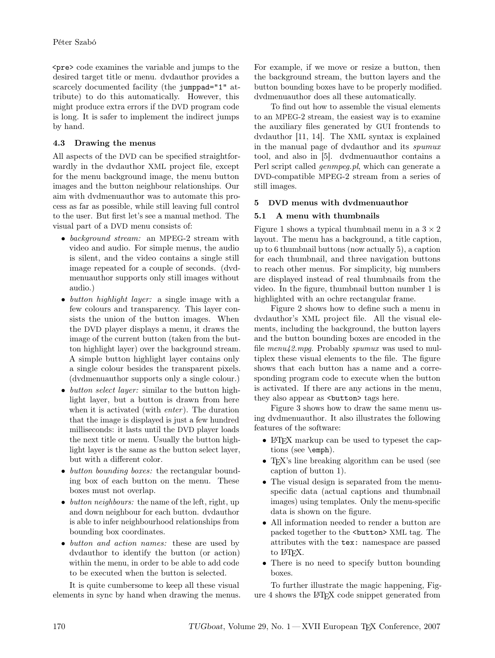<pre> code examines the variable and jumps to the desired target title or menu. dvdauthor provides a scarcely documented facility (the jumppad="1" attribute) to do this automatically. However, this might produce extra errors if the DVD program code is long. It is safer to implement the indirect jumps by hand.

#### 4.3 Drawing the menus

All aspects of the DVD can be specified straightforwardly in the dvdauthor XML project file, except for the menu background image, the menu button images and the button neighbour relationships. Our aim with dvdmenuauthor was to automate this process as far as possible, while still leaving full control to the user. But first let's see a manual method. The visual part of a DVD menu consists of:

- background stream: an MPEG-2 stream with video and audio. For simple menus, the audio is silent, and the video contains a single still image repeated for a couple of seconds. (dvdmenuauthor supports only still images without audio.)
- button highlight layer: a single image with a few colours and transparency. This layer consists the union of the button images. When the DVD player displays a menu, it draws the image of the current button (taken from the button highlight layer) over the background stream. A simple button highlight layer contains only a single colour besides the transparent pixels. (dvdmenuauthor supports only a single colour.)
- button select layer: similar to the button highlight layer, but a button is drawn from here when it is activated (with *enter*). The duration that the image is displayed is just a few hundred milliseconds: it lasts until the DVD player loads the next title or menu. Usually the button highlight layer is the same as the button select layer, but with a different color.
- button bounding boxes: the rectangular bounding box of each button on the menu. These boxes must not overlap.
- button neighbours: the name of the left, right, up and down neighbour for each button. dvdauthor is able to infer neighbourhood relationships from bounding box coordinates.
- button and action names: these are used by dvdauthor to identify the button (or action) within the menu, in order to be able to add code to be executed when the button is selected.

It is quite cumbersome to keep all these visual elements in sync by hand when drawing the menus. For example, if we move or resize a button, then the background stream, the button layers and the button bounding boxes have to be properly modified. dvdmenuauthor does all these automatically.

To find out how to assemble the visual elements to an MPEG-2 stream, the easiest way is to examine the auxiliary files generated by GUI frontends to dvdauthor [11, 14]. The XML syntax is explained in the manual page of dvdauthor and its spumux tool, and also in [5]. dvdmenuauthor contains a Perl script called genmpeg.pl, which can generate a DVD-compatible MPEG-2 stream from a series of still images.

#### 5 DVD menus with dvdmenuauthor

#### 5.1 A menu with thumbnails

Figure 1 shows a typical thumbnail menu in a  $3 \times 2$ layout. The menu has a background, a title caption, up to 6 thumbnail buttons (now actually 5), a caption for each thumbnail, and three navigation buttons to reach other menus. For simplicity, big numbers are displayed instead of real thumbnails from the video. In the figure, thumbnail button number 1 is highlighted with an ochre rectangular frame.

Figure 2 shows how to define such a menu in dvdauthor's XML project file. All the visual elements, including the background, the button layers and the button bounding boxes are encoded in the file menu42.mpg. Probably spumux was used to multiplex these visual elements to the file. The figure shows that each button has a name and a corresponding program code to execute when the button is activated. If there are any actions in the menu, they also appear as <br/> <br/>then> tags here.

Figure 3 shows how to draw the same menu using dvdmenuauthor. It also illustrates the following features of the software:

- LATEX markup can be used to typeset the captions (see \emph).
- T<sub>EX</sub>'s line breaking algorithm can be used (see caption of button 1).
- The visual design is separated from the menuspecific data (actual captions and thumbnail images) using templates. Only the menu-specific data is shown on the figure.
- All information needed to render a button are packed together to the <button> XML tag. The attributes with the tex: namespace are passed to LATEX.
- There is no need to specify button bounding boxes.

To further illustrate the magic happening, Figure 4 shows the LATEX code snippet generated from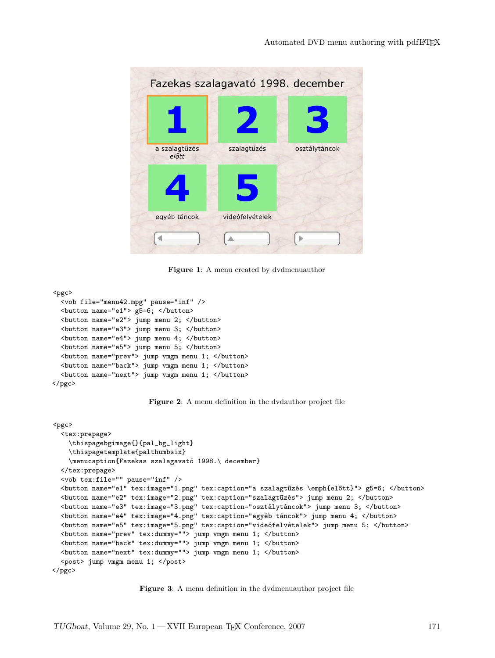

Figure 1: A menu created by dvdmenuauthor

```
<pgc>
  <vob file="menu42.mpg" pause="inf" />
  <button name="e1"> g5=6; </button>
  <button name="e2"> jump menu 2; </button>
 <button name="e3"> jump menu 3; </button>
 <button name="e4"> jump menu 4; </button>
 <button name="e5"> jump menu 5; </button>
 <button name="prev"> jump vmgm menu 1; </button>
  <button name="back"> jump vmgm menu 1; </button>
  <button name="next"> jump vmgm menu 1; </button>
</pgc>
```
Figure 2: A menu definition in the dvdauthor project file

```
<pgc>
  <tex:prepage>
    \thispagebgimage{}{pal_bg_light}
    \thispagetemplate{palthumbsix}
    \menucaption{Fazekas szalagavató 1998.\ december}
  </tex:prepage>
  <vob tex:file="" pause="inf" />
  <button name="e1" tex:image="1.png" tex:caption="a szalagtűzés \emph{előtt}"> g5=6; </button>
  <button name="e2" tex:image="2.png" tex:caption="szalagtűzés"> jump menu 2; </button>
  <button name="e3" tex:image="3.png" tex:caption="osztálytáncok"> jump menu 3; </button>
  <button name="e4" tex:image="4.png" tex:caption="egyéb táncok"> jump menu 4; </button>
  <button name="e5" tex:image="5.png" tex:caption="videófelvételek"> jump menu 5; </button>
  <button name="prev" tex:dummy=""> jump vmgm menu 1; </button>
  <button name="back" tex:dummy=""> jump vmgm menu 1; </button>
  <button name="next" tex:dummy=""> jump vmgm menu 1; </button>
  <post> jump vmgm menu 1; </post>
</pgc>
```
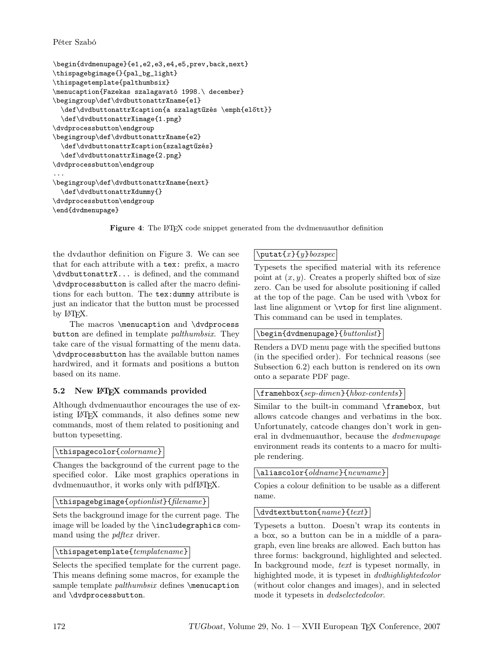Péter Szabó

```
\begin{dvdmenupage}{e1,e2,e3,e4,e5,prev,back,next}
\thispagebgimage{}{pal_bg_light}
\thispagetemplate{palthumbsix}
\menucaption{Fazekas szalagavató 1998.\ december}
\begingroup\def\dvdbuttonattrXname{e1}
  \def\dvdbuttonattrXcaption{a szalagtűzés \emph{előtt}}
  \def\dvdbuttonattrXimage{1.png}
\dvdprocessbutton\endgroup
\begingroup\def\dvdbuttonattrXname{e2}
  \def\dvdbuttonattrXcaption{szalagtűzés}
  \def\dvdbuttonattrXimage{2.png}
\dvdprocessbutton\endgroup
...
\begingroup\def\dvdbuttonattrXname{next}
 \def\dvdbuttonattrXdummy{}
\dvdprocessbutton\endgroup
\end{dvdmenupage}
```
Figure 4: The L<sup>AT</sup>EX code snippet generated from the dvdmenuauthor definition

the dvdauthor definition on Figure 3. We can see that for each attribute with a tex: prefix, a macro \dvdbuttonattrX... is defined, and the command \dvdprocessbutton is called after the macro definitions for each button. The tex:dummy attribute is just an indicator that the button must be processed by L<sup>AT</sup>FX.

The macros \menucaption and \dvdprocess button are defined in template palthumbsix. They take care of the visual formatting of the menu data. \dvdprocessbutton has the available button names hardwired, and it formats and positions a button based on its name.

# 5.2 New IATEX commands provided

Although dvdmenuauthor encourages the use of existing LATEX commands, it also defines some new commands, most of them related to positioning and button typesetting.

# \thispagecolor{colorname}

Changes the background of the current page to the specified color. Like most graphics operations in dvdmenuauthor, it works only with pdfL<sup>AT</sup>FX.

# $\setminus$ thispagebgimage{*optionlist*}{filename}

Sets the background image for the current page. The image will be loaded by the \includegraphics command using the *pdftex* driver.

# $\thinspace\$  thispagetemplate{templatename}

Selects the specified template for the current page. This means defining some macros, for example the sample template *palthumbsix* defines **\menucaption** and \dvdprocessbutton.

# $\forall y$ }\putat{x}{y}boxspec

Typesets the specified material with its reference point at  $(x, y)$ . Creates a properly shifted box of size zero. Can be used for absolute positioning if called at the top of the page. Can be used with \vbox for last line alignment or \vtop for first line alignment. This command can be used in templates.

# $\setminus$ begin{dvdmenupage}{ $\textit{buttonlist}$ }

Renders a DVD menu page with the specified buttons (in the specified order). For technical reasons (see Subsection 6.2) each button is rendered on its own onto a separate PDF page.

# $\left[\setminus \texttt{framehbox}\{\textit{step-dimen}}\}$ {hbox-contents}

Similar to the built-in command \framebox, but allows catcode changes and verbatims in the box. Unfortunately, catcode changes don't work in general in dvdmenuauthor, because the dvdmenupage environment reads its contents to a macro for multiple rendering.

# $\lambda$ aliascolor{*oldname*}{newname}

Copies a colour definition to be usable as a different name.

# $\lbrace \text{dvdtextbutton}\lbrace name \rbrace \lbrace text \rbrace$

Typesets a button. Doesn't wrap its contents in a box, so a button can be in a middle of a paragraph, even line breaks are allowed. Each button has three forms: background, highlighted and selected. In background mode, text is typeset normally, in highighted mode, it is typeset in dvdhighlightedcolor (without color changes and images), and in selected mode it typesets in dvdselectedcolor.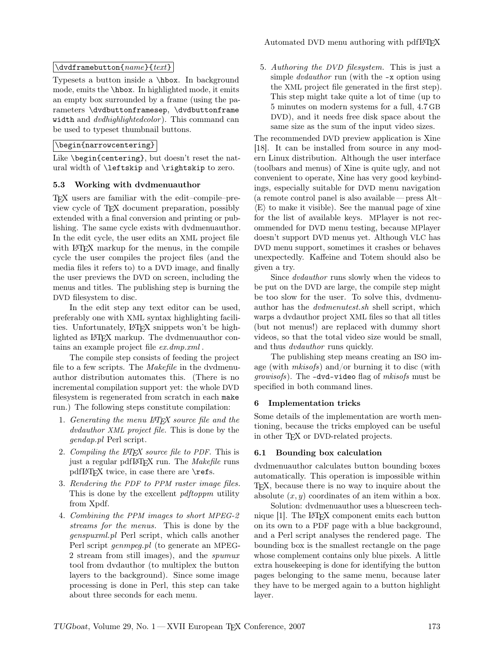# $\setminus$ dvdframebutton{ $name$ }{text}

Typesets a button inside a \hbox. In background mode, emits the \hbox. In highlighted mode, it emits an empty box surrounded by a frame (using the parameters \dvdbuttonframesep, \dvdbuttonframe width and *dvdhighlightedcolor*). This command can be used to typeset thumbnail buttons.

# \begin{narrowcentering}

Like \begin{centering}, but doesn't reset the natural width of \leftskip and \rightskip to zero.

# 5.3 Working with dvdmenuauthor

TEX users are familiar with the edit–compile–preview cycle of TEX document preparation, possibly extended with a final conversion and printing or publishing. The same cycle exists with dvdmenuauthor. In the edit cycle, the user edits an XML project file with LAT<sub>EX</sub> markup for the menus, in the compile cycle the user compiles the project files (and the media files it refers to) to a DVD image, and finally the user previews the DVD on screen, including the menus and titles. The publishing step is burning the DVD filesystem to disc.

In the edit step any text editor can be used, preferably one with XML syntax highlighting facilities. Unfortunately, L<sup>AT</sup>FX snippets won't be highlighted as L<sup>AT</sup>EX markup. The dvdmenuauthor contains an example project file ex.dmp.xml.

The compile step consists of feeding the project file to a few scripts. The Makefile in the dvdmenuauthor distribution automates this. (There is no incremental compilation support yet: the whole DVD filesystem is regenerated from scratch in each make run.) The following steps constitute compilation:

- 1. Generating the menu  $\mathbb{H} F_X$  source file and the dvdauthor XML project file. This is done by the gendap.pl Perl script.
- 2. Compiling the L<sup>AT</sup>EX source file to PDF. This is just a regular pdfLAT<sub>F</sub>X run. The *Makefile* runs pdfL<sup>AT</sup>FX twice, in case there are \refs.
- 3. Rendering the PDF to PPM raster image files. This is done by the excellent pdftoppm utility from Xpdf.
- 4. Combining the PPM images to short MPEG-2 streams for the menus. This is done by the genspuxml.pl Perl script, which calls another Perl script genmpeg.pl (to generate an MPEG-2 stream from still images), and the spumux tool from dvdauthor (to multiplex the button layers to the background). Since some image processing is done in Perl, this step can take about three seconds for each menu.

5. Authoring the DVD filesystem. This is just a simple dvdauthor run (with the -x option using the XML project file generated in the first step). This step might take quite a lot of time (up to 5 minutes on modern systems for a full, 4.7 GB DVD), and it needs free disk space about the same size as the sum of the input video sizes.

The recommended DVD preview application is Xine [18]. It can be installed from source in any modern Linux distribution. Although the user interface (toolbars and menus) of Xine is quite ugly, and not convenient to operate, Xine has very good keybindings, especially suitable for DVD menu navigation (a remote control panel is also available — press Alt–  $\langle E \rangle$  to make it visible). See the manual page of xine for the list of available keys. MPlayer is not recommended for DVD menu testing, because MPlayer doesn't support DVD menus yet. Although VLC has DVD menu support, sometimes it crashes or behaves unexpectedly. Kaffeine and Totem should also be given a try.

Since dvdauthor runs slowly when the videos to be put on the DVD are large, the compile step might be too slow for the user. To solve this, dvdmenuauthor has the dvdmenutest.sh shell script, which warps a dvdauthor project XML files so that all titles (but not menus!) are replaced with dummy short videos, so that the total video size would be small, and thus dvdauthor runs quickly.

The publishing step means creating an ISO image (with  $mkisofs$ ) and/or burning it to disc (with *growisofs*). The  $-\text{d}v\text{d}-v\text{i}$  decombing of *mkisofs* must be specified in both command lines.

# 6 Implementation tricks

Some details of the implementation are worth mentioning, because the tricks employed can be useful in other T<sub>F</sub>X or DVD-related projects.

# 6.1 Bounding box calculation

dvdmenuauthor calculates button bounding boxes automatically. This operation is impossible within TEX, because there is no way to inquire about the absolute  $(x, y)$  coordinates of an item within a box.

Solution: dvdmenuauthor uses a bluescreen technique [1]. The L<sup>AT</sup>EX component emits each button on its own to a PDF page with a blue background, and a Perl script analyses the rendered page. The bounding box is the smallest rectangle on the page whose complement contains only blue pixels. A little extra housekeeping is done for identifying the button pages belonging to the same menu, because later they have to be merged again to a button highlight layer.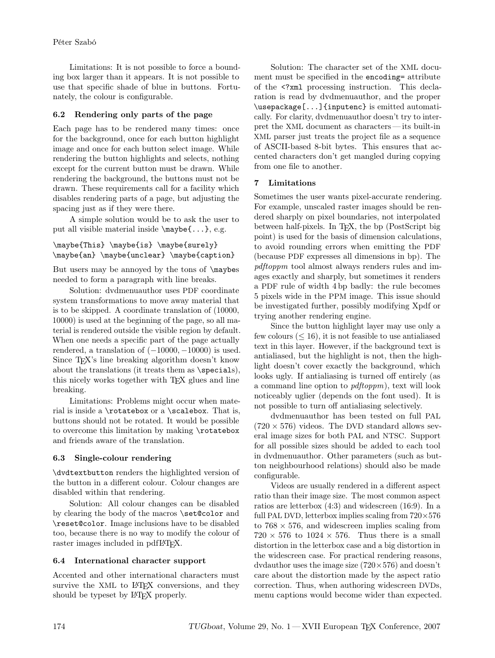Limitations: It is not possible to force a bounding box larger than it appears. It is not possible to use that specific shade of blue in buttons. Fortunately, the colour is configurable.

# 6.2 Rendering only parts of the page

Each page has to be rendered many times: once for the background, once for each button highlight image and once for each button select image. While rendering the button highlights and selects, nothing except for the current button must be drawn. While rendering the background, the buttons must not be drawn. These requirements call for a facility which disables rendering parts of a page, but adjusting the spacing just as if they were there.

A simple solution would be to ask the user to put all visible material inside \maybe{...}, e.g.

```
\maybe{This} \maybe{is} \maybe{surely}
\maybe{an} \maybe{unclear} \maybe{caption}
```
But users may be annoyed by the tons of \maybes needed to form a paragraph with line breaks.

Solution: dvdmenuauthor uses PDF coordinate system transformations to move away material that is to be skipped. A coordinate translation of (10000, 10000) is used at the beginning of the page, so all material is rendered outside the visible region by default. When one needs a specific part of the page actually rendered, a translation of  $(-10000, -10000)$  is used. Since T<sub>E</sub>X's line breaking algorithm doesn't know about the translations (it treats them as \specials), this nicely works together with T<sub>E</sub>X glues and line breaking.

Limitations: Problems might occur when material is inside a  $rotatebox$  or a  $scalbox$ . That is, buttons should not be rotated. It would be possible to overcome this limitation by making \rotatebox and friends aware of the translation.

# 6.3 Single-colour rendering

\dvdtextbutton renders the highlighted version of the button in a different colour. Colour changes are disabled within that rendering.

Solution: All colour changes can be disabled by clearing the body of the macros \set@color and \reset@color. Image inclusions have to be disabled too, because there is no way to modify the colour of raster images included in pdfL<sup>AT</sup>EX.

# 6.4 International character support

Accented and other international characters must survive the XML to L<sup>AT</sup>FX conversions, and they should be typeset by L<sup>AT</sup>FX properly.

Solution: The character set of the XML document must be specified in the encoding= attribute of the <?xml processing instruction. This declaration is read by dvdmenuauthor, and the proper \usepackage[...]{inputenc} is emitted automatically. For clarity, dvdmenuauthor doesn't try to interpret the XML document as characters — its built-in XML parser just treats the project file as a sequence of ASCII-based 8-bit bytes. This ensures that accented characters don't get mangled during copying from one file to another.

# 7 Limitations

Sometimes the user wants pixel-accurate rendering. For example, unscaled raster images should be rendered sharply on pixel boundaries, not interpolated between half-pixels. In TEX, the bp (PostScript big point) is used for the basis of dimension calculations, to avoid rounding errors when emitting the PDF (because PDF expresses all dimensions in bp). The pdftoppm tool almost always renders rules and images exactly and sharply, but sometimes it renders a PDF rule of width 4 bp badly: the rule becomes 5 pixels wide in the PPM image. This issue should be investigated further, possibly modifying Xpdf or trying another rendering engine.

Since the button highlight layer may use only a few colours  $(\leq 16)$ , it is not feasible to use antialiased text in this layer. However, if the background text is antialiased, but the highlight is not, then the highlight doesn't cover exactly the background, which looks ugly. If antialiasing is turned off entirely (as a command line option to pdftoppm), text will look noticeably uglier (depends on the font used). It is not possible to turn off antialiasing selectively.

dvdmenuauthor has been tested on full PAL  $(720 \times 576)$  videos. The DVD standard allows several image sizes for both PAL and NTSC. Support for all possible sizes should be added to each tool in dvdmenuauthor. Other parameters (such as button neighbourhood relations) should also be made configurable.

Videos are usually rendered in a different aspect ratio than their image size. The most common aspect ratios are letterbox (4:3) and widescreen (16:9). In a full PAL DVD, letterbox implies scaling from  $720\times576$ to  $768 \times 576$ , and widescreen implies scaling from  $720 \times 576$  to  $1024 \times 576$ . Thus there is a small distortion in the letterbox case and a big distortion in the widescreen case. For practical rendering reasons, dvdauthor uses the image size  $(720 \times 576)$  and doesn't care about the distortion made by the aspect ratio correction. Thus, when authoring widescreen DVDs, menu captions would become wider than expected.